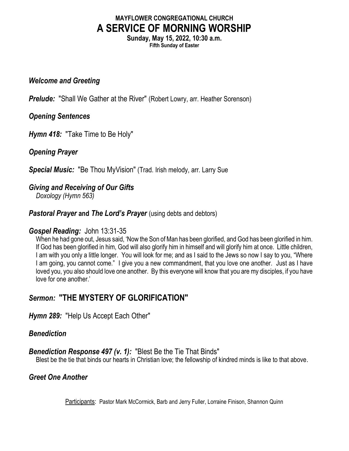# MAYFLOWER CONGREGATIONAL CHURCH A SERVICE OF MORNING WORSHIP

Sunday, May 15, 2022, 10:30 a.m. Fifth Sunday of Easter

#### Welcome and Greeting

**Prelude:** "Shall We Gather at the River" (Robert Lowry, arr. Heather Sorenson)

## Opening Sentences

Hymn 418: "Take Time to Be Holy"

Opening Prayer

**Special Music:** "Be Thou MyVision" (Trad. Irish melody, arr. Larry Sue

## Giving and Receiving of Our Gifts

Doxology (Hymn 563)

**Pastoral Prayer and The Lord's Prayer** (using debts and debtors)

## Gospel Reading: John 13:31-35

When he had gone out, Jesus said, 'Now the Son of Man has been glorified, and God has been glorified in him. If God has been glorified in him, God will also glorify him in himself and will glorify him at once. Little children, I am with you only a little longer. You will look for me; and as I said to the Jews so now I say to you, "Where I am going, you cannot come." I give you a new commandment, that you love one another. Just as I have loved you, you also should love one another. By this everyone will know that you are my disciples, if you have love for one another.'

# Sermon: "THE MYSTERY OF GLORIFICATION"

Hymn 289: "Help Us Accept Each Other"

## Benediction

## **Benediction Response 497 (v. 1):** "Blest Be the Tie That Binds"

Blest be the tie that binds our hearts in Christian love; the fellowship of kindred minds is like to that above.

## Greet One Another

Participants: Pastor Mark McCormick, Barb and Jerry Fuller, Lorraine Finison, Shannon Quinn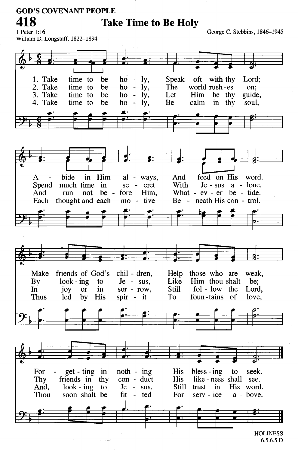#### **GOD'S COVENANT PEOPLE** 418 **Take Time to Be Holy**

George C. Stebbins, 1846-1945

1 Peter 1:16 William D. Longstaff, 1822-1894



 $6.5.6.5 D$